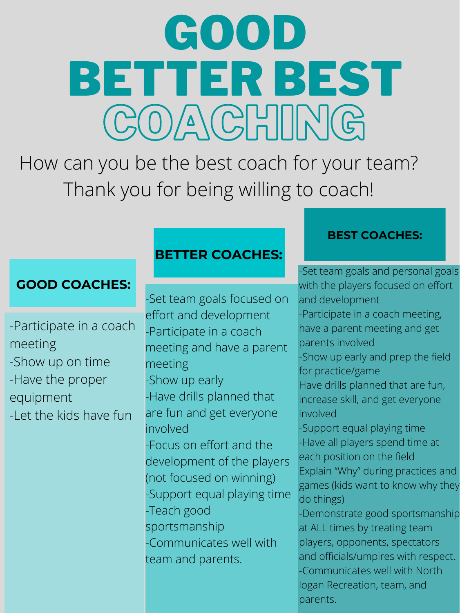-Participate in a coach meeting -Show up on time -Have the proper equipment -Let the kids have fun



-Participate in a coach meeting and have a parent meeting -Show up early -Have drills planned that are fun and get everyone involved -Focus on effort and the development of the players (not focused on winning) -Support equal playing time -Teach good sportsmanship -Communicates well with team and parents.

have a parent meeting and get parents involved -Show up early and prep the field for practice/game Have drills planned that are fun, increase skill, and get everyone involved -Support equal playing time -Have all players spend time at each position on the field Explain "Why" during practices and games (kids want to know why they do things) -Demonstrate good sportsmanship at ALL times by treating team players, opponents, spectators and officials/umpires with respect. -Communicates well with North logan Recreation, team, and parents.

# COACHIMG GOOD BETTER BEST

How can you be the best coach for your team? Thank you for being willing to coach!